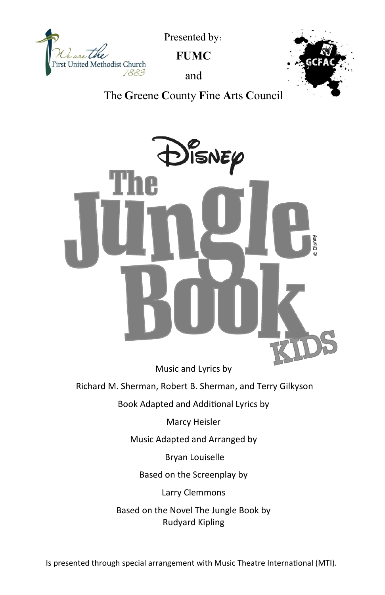

Presented by:

**FUMC**

and



The **G**reene **C**ounty **F**ine **A**rts **C**ouncil



Music and Lyrics by

Richard M. Sherman, Robert B. Sherman, and Terry Gilkyson

Book Adapted and Additional Lyrics by

Marcy Heisler

Music Adapted and Arranged by

Bryan Louiselle

Based on the Screenplay by

Larry Clemmons

Based on the Novel The Jungle Book by Rudyard Kipling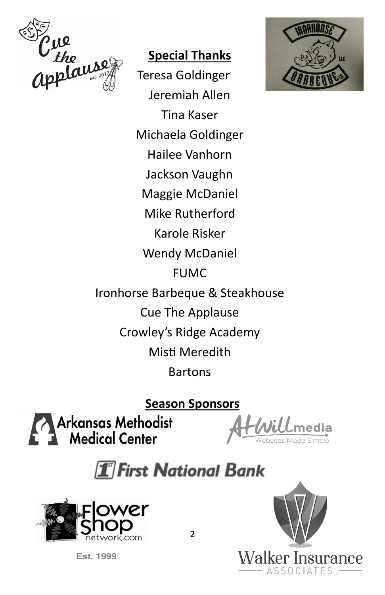

#### **Special Thanks**

Teresa Goldinger Jeremiah Allen Tina Kaser Michaela Goldinger Hailee Vanhorn Jackson Vaughn Maggie McDaniel Mike Rutherford Karole Risker Wendy McDaniel FUMC Ironhorse Barbeque & Steakhouse Cue The Applause Crowley's Ridge Academy Misti Meredith Bartons

**Season Sponsors**

Arkansas Methodist<br>Medical Center

# $\boxed{\mathbf{1}}$  First National Bank







2

**Est. 1999**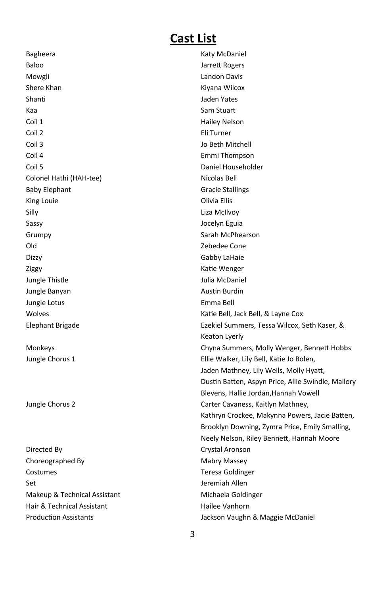## **Cast List**

| Bagheera                     | Katy McDaniel                                      |
|------------------------------|----------------------------------------------------|
| Baloo                        | Jarrett Rogers                                     |
| Mowgli                       | Landon Davis                                       |
| Shere Khan                   | Kiyana Wilcox                                      |
| Shanti                       | Jaden Yates                                        |
| Kaa                          | Sam Stuart                                         |
| Coil 1                       | <b>Hailey Nelson</b>                               |
| Coil 2                       | Eli Turner                                         |
| Coil 3                       | Jo Beth Mitchell                                   |
| Coil 4                       | Emmi Thompson                                      |
| Coil 5                       | Daniel Householder                                 |
| Colonel Hathi (HAH-tee)      | Nicolas Bell                                       |
| <b>Baby Elephant</b>         | <b>Gracie Stallings</b>                            |
| King Louie                   | Olivia Ellis                                       |
| Silly                        | Liza McIlvoy                                       |
| Sassy                        | Jocelyn Eguia                                      |
| Grumpy                       | Sarah McPhearson                                   |
| Old                          | Zebedee Cone                                       |
| Dizzy                        | Gabby LaHaie                                       |
| Ziggy                        | Katie Wenger                                       |
| Jungle Thistle               | Julia McDaniel                                     |
| Jungle Banyan                | <b>Austin Burdin</b>                               |
| Jungle Lotus                 | Emma Bell                                          |
| Wolves                       | Katie Bell, Jack Bell, & Layne Cox                 |
| Elephant Brigade             | Ezekiel Summers, Tessa Wilcox, Seth Kaser, &       |
|                              | Keaton Lyerly                                      |
| Monkeys                      | Chyna Summers, Molly Wenger, Bennett Hobbs         |
| Jungle Chorus 1              | Ellie Walker, Lily Bell, Katie Jo Bolen,           |
|                              | Jaden Mathney, Lily Wells, Molly Hyatt,            |
|                              | Dustin Batten, Aspyn Price, Allie Swindle, Mallory |
|                              | Blevens, Hallie Jordan, Hannah Vowell              |
| Jungle Chorus 2              | Carter Cavaness, Kaitlyn Mathney,                  |
|                              | Kathryn Crockee, Makynna Powers, Jacie Batten,     |
|                              | Brooklyn Downing, Zymra Price, Emily Smalling,     |
|                              | Neely Nelson, Riley Bennett, Hannah Moore          |
| Directed By                  | Crystal Aronson                                    |
| Choreographed By             | Mabry Massey                                       |
| Costumes                     | <b>Teresa Goldinger</b>                            |
| Set                          | Jeremiah Allen                                     |
| Makeup & Technical Assistant | Michaela Goldinger                                 |
| Hair & Technical Assistant   | Hailee Vanhorn                                     |
| <b>Production Assistants</b> | Jackson Vaughn & Maggie McDaniel                   |